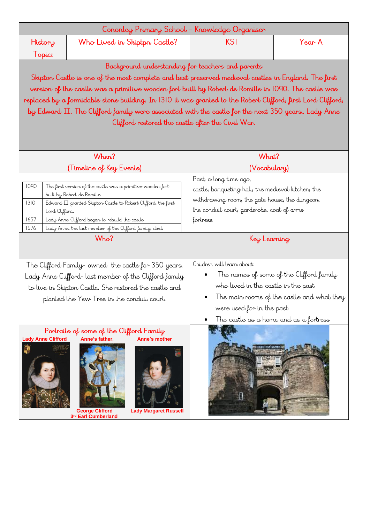| Cononley Primary School - Knowledge Organiser |                              |  |        |  |  |
|-----------------------------------------------|------------------------------|--|--------|--|--|
| History                                       | Who Lived in Skiptpn Castle? |  | Year A |  |  |
| l opic:                                       |                              |  |        |  |  |

Background understanding for teachers and parents

Skipton Castle is one of the most complete and best preserved medieval castles in England. The first version of the castle was a primitive wooden fort built by Robert de Romille in 1090. The castle was replaced by a formidable stone building. In 1310 it was granted to the Robert Clifford, first Lord Clifford, by Edward II. The Clifford family were associated with the castle for the next 350 years. Lady Anne Clifford restored the castle after the Civil War.

| When?                                                                                                                                                                                                                                                                                                                               | What?                                                                                                                                                                                                                              |  |
|-------------------------------------------------------------------------------------------------------------------------------------------------------------------------------------------------------------------------------------------------------------------------------------------------------------------------------------|------------------------------------------------------------------------------------------------------------------------------------------------------------------------------------------------------------------------------------|--|
| (Timeline of Key Events)                                                                                                                                                                                                                                                                                                            | (Vocabulary)                                                                                                                                                                                                                       |  |
| 1090<br>The first version of the castle was a primitive wooden fort<br>built by Robert de Romille<br>1310<br>Edward II granted Skipton Castle to Robert Clifford, the first<br>Lord Clifford.<br>1657<br>Lady Anne Clifford began to rebuild the castle<br>1676<br>Lady Anne, the last member of the Clifford family, died.<br>Who? | Past, a long time ago,<br>castle, banqueting hall, the medieval kitchen, the<br>withdrawing room, the gate house, the dungeon,<br>the conduit court, garderobe, coat of arms<br>fortress<br>Key Learning                           |  |
| The Clifford Family- owned the castle for 350 years.<br>Lady Anne Clifford- last member of the Clifford family<br>to live in Skipton Castle. She restored the castle and<br>planted the Yew Tree in the conduit court.                                                                                                              | Children will learn about:<br>The names of some of the Clifford family<br>who lived in the castle in the past<br>The main rooms of the castle and what they<br>were used for in the past<br>The castle as a home and as a fortress |  |
| Portraits of some of the Clifford Family<br><b>Lady Anne Clifford</b><br>Anne's father,<br>Anne's mother<br><b>George Clifford</b><br><b>Lady Margaret Russell</b><br>3rd Earl Cumberland                                                                                                                                           |                                                                                                                                                                                                                                    |  |